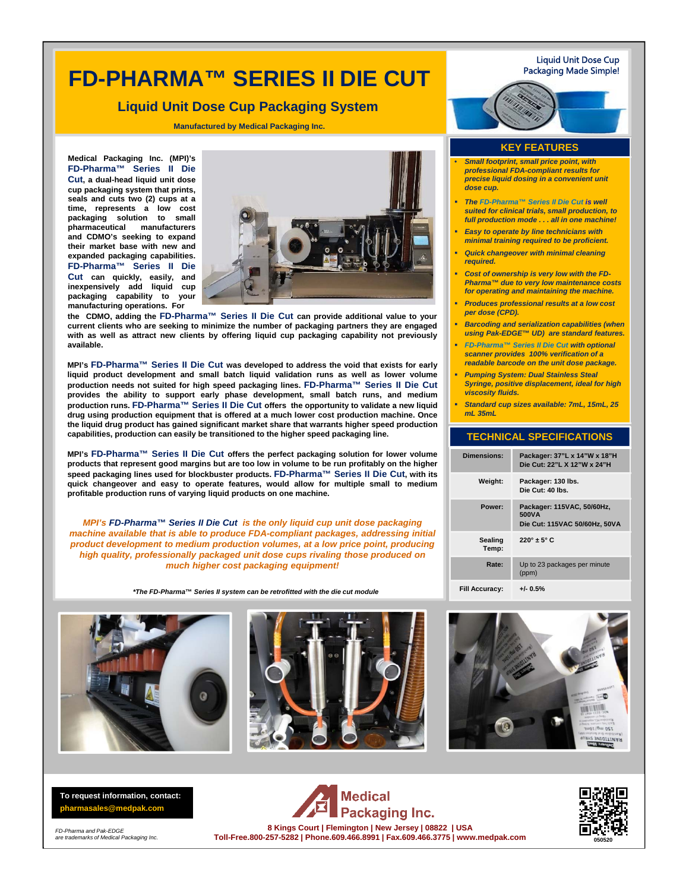# **FD-PHARMA™ SERIES II DIE CUT**

### **Liquid Unit Dose Cup Packaging System**

**Manufactured by Medical Packaging Inc.**

**Medical Packaging Inc. (MPI)'s FD-Pharma™ Series II Die Cut, a dual-head liquid unit dose cup packaging system that prints, seals and cuts two (2) cups at a time, represents a low cost packaging solution to small pharmaceutical manufacturers and CDMO's seeking to expand their market base with new and expanded packaging capabilities. FD-Pharma™ Series II Die Cut can quickly, easily, and inexpensively add liquid cup packaging capability to your manufacturing operations. For**



**the CDMO, adding the FD-Pharma™ Series II Die Cut can provide additional value to your current clients who are seeking to minimize the number of packaging partners they are engaged with as well as attract new clients by offering liquid cup packaging capability not previously available.**

**MPI's FD-Pharma™ Series II Die Cut was developed to address the void that exists for early liquid product development and small batch liquid validation runs as well as lower volume production needs not suited for high speed packaging lines. FD-Pharma™ Series II Die Cut provides the ability to support early phase development, small batch runs, and medium production runs. FD-Pharma™ Series II Die Cut offers the opportunity to validate a new liquid drug using production equipment that is offered at a much lower cost production machine. Once the liquid drug product has gained significant market share that warrants higher speed production capabilities, production can easily be transitioned to the higher speed packaging line.**

**MPI's FD-Pharma™ Series II Die Cut offers the perfect packaging solution for lower volume products that represent good margins but are too low in volume to be run profitably on the higher speed packaging lines used for blockbuster products. FD-Pharma™ Series II Die Cut, with its quick changeover and easy to operate features, would allow for multiple small to medium profitable production runs of varying liquid products on one machine.**

*MPI's FD-Pharma™ Series II Die Cut is the only liquid cup unit dose packaging machine available that is able to produce FDA-compliant packages, addressing initial product development to medium production volumes, at a low price point, producing high quality, professionally packaged unit dose cups rivaling those produced on much higher cost packaging equipment!*

*\*The FD-Pharma***™** *Series II system can be retrofitted with the die cut module*







**To request information, contact: pharmasales@medpak.com**

*FD-Pharma and Pak-EDGE are trademarks of Medical Packaging Inc.* 

**Medical** Packaging Inc. **8 Kings Court | Flemington | New Jersey | 08822 | USA Toll-Free.800-257-5282 | Phone.609.466.8991 | Fax.609.466.3775 | www.medpak.com** **050520**

#### Liquid Unit Dose Cup Packaging Made Simple!

#### **KEY FEATURES**

- *Small footprint, small price point, with professional FDA-compliant results for precise liquid dosing in a convenient unit dose cup.*
- *The FD-Pharma™ Series II Die Cut is well suited for clinical trials, small production, to full production mode . . . all in one machine!*
- *Easy to operate by line technicians with minimal training required to be proficient.*
- *Quick changeover with minimal cleaning required.*
- *Cost of ownership is very low with the FD-Pharma™ due to very low maintenance costs for operating and maintaining the machine.*
- *Produces professional results at a low cost per dose (CPD).*
- *Barcoding and serialization capabilities (when using Pak-EDGE™ UD) are standard features.*
- *FD-Pharma™ Series II Die Cut with optional scanner provides 100% verification of a readable barcode on the unit dose package.*
- *Pumping System: Dual Stainless Steal Syringe, positive displacement, ideal for high viscosity fluids.*
- *Standard cup sizes available: 7mL, 15mL, 25 mL 35mL*

### **TECHNICAL SPECIFICATIONS**

| <b>Dimensions:</b>    | Packager: 37"L x 14"W x 18"H<br>Die Cut: 22"L X 12"W x 24"H          |
|-----------------------|----------------------------------------------------------------------|
| Weight:               | Packager: 130 lbs.<br>Die Cut: 40 lbs.                               |
| Power:                | Packager: 115VAC, 50/60Hz,<br>500VA<br>Die Cut: 115VAC 50/60Hz, 50VA |
| Sealing<br>Temp:      | $220^\circ \pm 5^\circ$ C                                            |
| Rate:                 | Up to 23 packages per minute<br>(ppm)                                |
| <b>Fill Accuracy:</b> | $+/- 0.5%$                                                           |